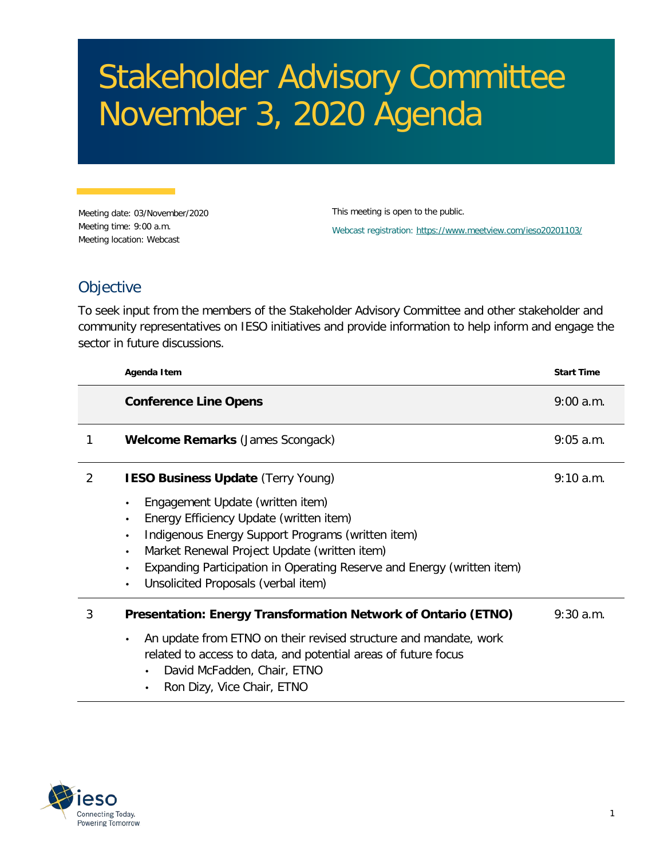## Stakeholder Advisory Committee November 3, 2020 Agenda

Meeting date: 03/November/2020 Meeting time: 9:00 a.m. Meeting location: Webcast

This meeting is open to the public. Webcast registration:<https://www.meetview.com/ieso20201103/>

## **Objective**

To seek input from the members of the Stakeholder Advisory Committee and other stakeholder and community representatives on IESO initiatives and provide information to help inform and engage the sector in future discussions.

|   | Agenda Item                                                                                                                                                                                                                                                                                                                                                        | <b>Start Time</b> |
|---|--------------------------------------------------------------------------------------------------------------------------------------------------------------------------------------------------------------------------------------------------------------------------------------------------------------------------------------------------------------------|-------------------|
|   | <b>Conference Line Opens</b>                                                                                                                                                                                                                                                                                                                                       | $9:00$ a.m.       |
| 1 | <b>Welcome Remarks (James Scongack)</b>                                                                                                                                                                                                                                                                                                                            | $9:05$ a.m.       |
| 2 | <b>IESO Business Update (Terry Young)</b>                                                                                                                                                                                                                                                                                                                          | $9:10$ a.m.       |
|   | Engagement Update (written item)<br>$\bullet$<br>Energy Efficiency Update (written item)<br>$\bullet$<br>Indigenous Energy Support Programs (written item)<br>$\bullet$<br>Market Renewal Project Update (written item)<br>$\bullet$<br>Expanding Participation in Operating Reserve and Energy (written item)<br>$\bullet$<br>Unsolicited Proposals (verbal item) |                   |
| 3 | Presentation: Energy Transformation Network of Ontario (ETNO)<br>An update from ETNO on their revised structure and mandate, work<br>related to access to data, and potential areas of future focus<br>David McFadden, Chair, ETNO<br>$\bullet$<br>Ron Dizy, Vice Chair, ETNO<br>$\bullet$                                                                         | $9:30$ a.m.       |